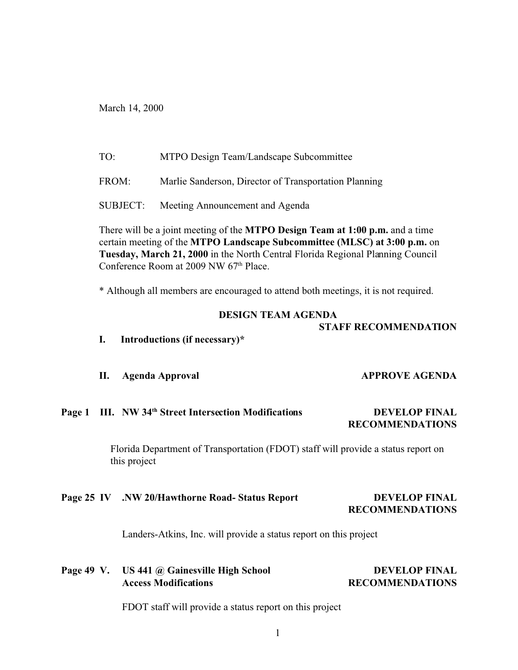March 14, 2000

TO: MTPO Design Team/Landscape Subcommittee

FROM: Marlie Sanderson, Director of Transportation Planning

SUBJECT: Meeting Announcement and Agenda

There will be a joint meeting of the **MTPO Design Team at 1:00 p.m.** and a time certain meeting of the **MTPO Landscape Subcommittee (MLSC) at 3:00 p.m.** on **Tuesday, March 21, 2000** in the North Central Florida Regional Planning Council Conference Room at 2009 NW 67<sup>th</sup> Place.

\* Although all members are encouraged to attend both meetings, it is not required.

#### **DESIGN TEAM AGENDA**

## **STAFF RECOMMENDATION**

- **I. Introductions (if necessary)\***
- **II.** Agenda Approval **APPROVE AGENDA**

# **Page 1 III. NW 34th Street Intersection Modifications DEVELOP FINAL RECOMMENDATIONS**

Florida Department of Transportation (FDOT) staff will provide a status report on this project

# **Page 25 IV .NW 20/Hawthorne Road- Status Report DEVELOP FINAL**

# **RECOMMENDATIONS**

Landers-Atkins, Inc. will provide a status report on this project

# **Page 49 V. US 441 @ Gainesville High School DEVELOP FINAL Access Modifications RECOMMENDATIONS**

FDOT staff will provide a status report on this project